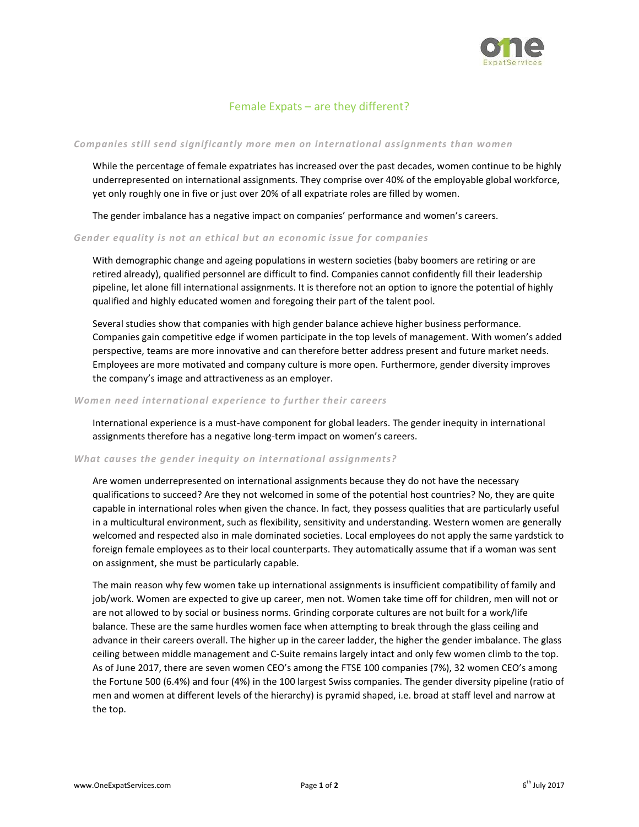

# Female Expats – are they different?

### *Companies still send significantly more men on international assignments than women*

While the percentage of female expatriates has increased over the past decades, women continue to be highly underrepresented on international assignments. They comprise over 40% of the employable global workforce, yet only roughly one in five or just over 20% of all expatriate roles are filled by women.

The gender imbalance has a negative impact on companies' performance and women's careers.

#### *Gender equality is not an ethical but an economic issue for companies*

With demographic change and ageing populations in western societies (baby boomers are retiring or are retired already), qualified personnel are difficult to find. Companies cannot confidently fill their leadership pipeline, let alone fill international assignments. It is therefore not an option to ignore the potential of highly qualified and highly educated women and foregoing their part of the talent pool.

Several studies show that companies with high gender balance achieve higher business performance. Companies gain competitive edge if women participate in the top levels of management. With women's added perspective, teams are more innovative and can therefore better address present and future market needs. Employees are more motivated and company culture is more open. Furthermore, gender diversity improves the company's image and attractiveness as an employer.

### *Women need international experience to further their careers*

International experience is a must-have component for global leaders. The gender inequity in international assignments therefore has a negative long-term impact on women's careers.

### *What causes the gender inequity on international assignments?*

Are women underrepresented on international assignments because they do not have the necessary qualifications to succeed? Are they not welcomed in some of the potential host countries? No, they are quite capable in international roles when given the chance. In fact, they possess qualities that are particularly useful in a multicultural environment, such as flexibility, sensitivity and understanding. Western women are generally welcomed and respected also in male dominated societies. Local employees do not apply the same yardstick to foreign female employees as to their local counterparts. They automatically assume that if a woman was sent on assignment, she must be particularly capable.

The main reason why few women take up international assignments is insufficient compatibility of family and job/work. Women are expected to give up career, men not. Women take time off for children, men will not or are not allowed to by social or business norms. Grinding corporate cultures are not built for a work/life balance. These are the same hurdles women face when attempting to break through the glass ceiling and advance in their careers overall. The higher up in the career ladder, the higher the gender imbalance. The glass ceiling between middle management and C-Suite remains largely intact and only few women climb to the top. As of June 2017, there are seven women CEO's among the FTSE 100 companies (7%), 32 women CEO's among the Fortune 500 (6.4%) and four (4%) in the 100 largest Swiss companies. The gender diversity pipeline (ratio of men and women at different levels of the hierarchy) is pyramid shaped, i.e. broad at staff level and narrow at the top.